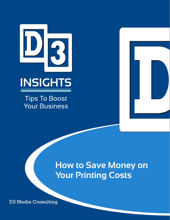



**Tips To Boost Your Business** 



## How to Save Money on Your Printing Costs

D3 Media Consulting